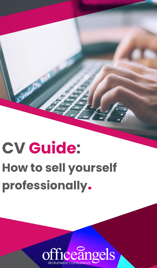# **How to sell yourself professionally. CV Guide:**

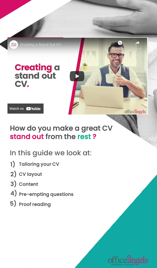

Watch on **D** YouTube

### How do you make a great CV stand out from the rest?

### In this guide we look at:

- **1)** Tailoring your CV
- 2) CV layout
- Content 3)
- $\boldsymbol{4}$  ) Pre-empting questions
- 5) Proof reading



**Share** 

officeangels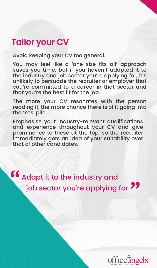# Tailor your CV

Avoid keeping your CV too general.

You may feel like a 'one-size-fits-all' approach saves you time, but if you haven't adapted it to the industry and job sector you're applying for, it's unlikely to persuade the recruiter or employer that you're committed to a career in that sector and that you're the best fit for the job.

The more your CV resonates with the person reading it, the more chance there is of it going into the 'Yes' pile.

Emphasise your industry-relevant qualifications and experience throughout your CV and give prominence to these at the top, so the recruiter immediately gets an idea of your suitability over that of other candidates.

Adapt it to the industry and job sector you're applying for " "

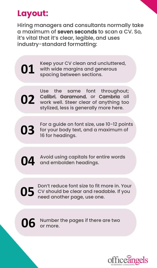# **Layout:**

Hiring managers and consultants normally take a maximum of seven seconds to scan a CV. So, it's vital that it's clear, legible, and uses industry-standard formatting:

Keep your CV clean and uncluttered, with wide margins and generous spacing between sections. **01**



Use the same font throughout; Calibri, Garamond, or Cambria all **02** Calibri, Garamond, or Cambria all<br>work well. Steer clear of anything too stylized, less is generally more here.

**03**

For a guide on font size, use 10-12 points for your body text, and a maximum of 16 for headings.

Avoid using capitals for entire words and embolden headings. **04**

Don't reduce font size to fit more in. Your CV should be clear and readable. If you need another page, use one. **05**



Number the pages if there are two 06 Number<br>or more.

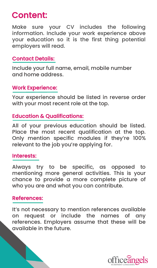# Content:

Make sure your CV includes the following information. Include your work experience above your education so it is the first thing potential employers will read.

#### Contact Details:

Include your full name, email, mobile number and home address.

#### Work Experience:

Your experience should be listed in reverse order with your most recent role at the top.

#### Education & Qualifications:

All of your previous education should be listed. Place the most recent qualification at the top. Only mention specific modules if they're 100% relevant to the job you're applying for.

#### Interests:

Always try to be specific, as opposed to mentioning more general activities. This is your chance to provide a more complete picture of who you are and what you can contribute.

#### References:

It's not necessary to mention references available on request or include the names of any references. Employers assume that these will be available in the future.

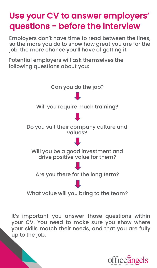# Use your CV to answer employers' questions - before the interview

Employers don't have time to read between the lines, so the more you do to show how great you are for the job, the more chance you'll have of getting it.

Potential employers will ask themselves the following questions about you:



It's important you answer those questions within your CV. You need to make sure you show where your skills match their needs, and that you are fully up to the job.